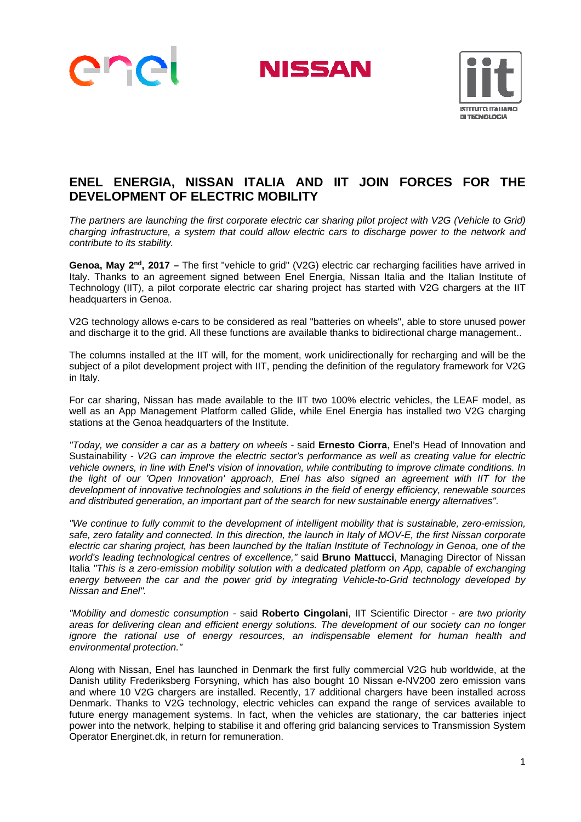

**NISSAN** 



## **ENEL ENERGIA, NISSAN ITALIA AND IIT JOIN FORCES FOR THE DEVELOPMENT OF ELECTRIC MOBILITY**

*The partners are launching the first corporate electric car sharing pilot project with V2G (Vehicle to Grid) charging infrastructure, a system that could allow electric cars to discharge power to the network and contribute to its stability.* 

**Genoa, May 2<sup>nd</sup>, 2017** – The first "vehicle to grid" (V2G) electric car recharging facilities have arrived in Italy. Thanks to an agreement signed between Enel Energia, Nissan Italia and the Italian Institute of Technology (IIT), a pilot corporate electric car sharing project has started with V2G chargers at the IIT headquarters in Genoa.

V2G technology allows e-cars to be considered as real "batteries on wheels", able to store unused power and discharge it to the grid. All these functions are available thanks to bidirectional charge management..

The columns installed at the IIT will, for the moment, work unidirectionally for recharging and will be the subject of a pilot development project with IIT, pending the definition of the regulatory framework for V2G in Italy.

For car sharing, Nissan has made available to the IIT two 100% electric vehicles, the LEAF model, as well as an App Management Platform called Glide, while Enel Energia has installed two V2G charging stations at the Genoa headquarters of the Institute.

*"Today, we consider a car as a battery on wheels -* said **Ernesto Ciorra**, Enel's Head of Innovation and Sustainability *- V2G can improve the electric sector's performance as well as creating value for electric vehicle owners, in line with Enel's vision of innovation, while contributing to improve climate conditions. In the light of our 'Open Innovation' approach, Enel has also signed an agreement with IIT for the development of innovative technologies and solutions in the field of energy efficiency, renewable sources and distributed generation, an important part of the search for new sustainable energy alternatives".* 

*"We continue to fully commit to the development of intelligent mobility that is sustainable, zero-emission, safe, zero fatality and connected. In this direction, the launch in Italy of MOV-E, the first Nissan corporate electric car sharing project, has been launched by the Italian Institute of Technology in Genoa, one of the world's leading technological centres of excellence,"* said **Bruno Mattucci**, Managing Director of Nissan Italia *"This is a zero-emission mobility solution with a dedicated platform on App, capable of exchanging energy between the car and the power grid by integrating Vehicle-to-Grid technology developed by Nissan and Enel".* 

*"Mobility and domestic consumption -* said **Roberto Cingolani**, IIT Scientific Director *- are two priority areas for delivering clean and efficient energy solutions. The development of our society can no longer ignore the rational use of energy resources, an indispensable element for human health and environmental protection."* 

Along with Nissan, Enel has launched in Denmark the first fully commercial V2G hub worldwide, at the Danish utility Frederiksberg Forsyning, which has also bought 10 Nissan e-NV200 zero emission vans and where 10 V2G chargers are installed. Recently, 17 additional chargers have been installed across Denmark. Thanks to V2G technology, electric vehicles can expand the range of services available to future energy management systems. In fact, when the vehicles are stationary, the car batteries inject power into the network, helping to stabilise it and offering grid balancing services to Transmission System Operator Energinet.dk, in return for remuneration.